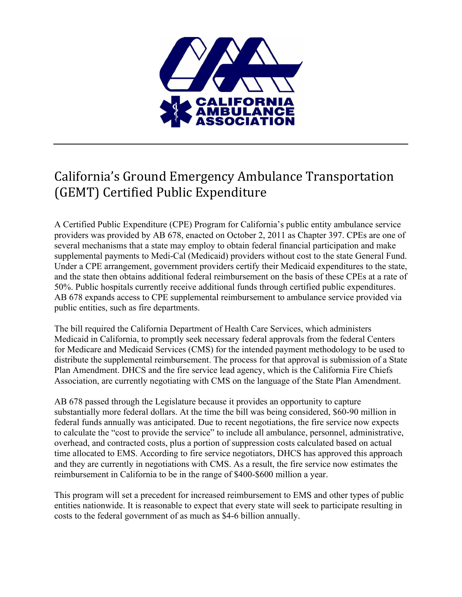

## California's Ground Emergency Ambulance Transportation (GEMT) Certified Public Expenditure

A Certified Public Expenditure (CPE) Program for California's public entity ambulance service providers was provided by AB 678, enacted on October 2, 2011 as Chapter 397. CPEs are one of several mechanisms that a state may employ to obtain federal financial participation and make supplemental payments to Medi-Cal (Medicaid) providers without cost to the state General Fund. Under a CPE arrangement, government providers certify their Medicaid expenditures to the state, and the state then obtains additional federal reimbursement on the basis of these CPEs at a rate of 50%. Public hospitals currently receive additional funds through certified public expenditures. AB 678 expands access to CPE supplemental reimbursement to ambulance service provided via public entities, such as fire departments.

The bill required the California Department of Health Care Services, which administers Medicaid in California, to promptly seek necessary federal approvals from the federal Centers for Medicare and Medicaid Services (CMS) for the intended payment methodology to be used to distribute the supplemental reimbursement. The process for that approval is submission of a State Plan Amendment. DHCS and the fire service lead agency, which is the California Fire Chiefs Association, are currently negotiating with CMS on the language of the State Plan Amendment.

AB 678 passed through the Legislature because it provides an opportunity to capture substantially more federal dollars. At the time the bill was being considered, \$60-90 million in federal funds annually was anticipated. Due to recent negotiations, the fire service now expects to calculate the "cost to provide the service" to include all ambulance, personnel, administrative, overhead, and contracted costs, plus a portion of suppression costs calculated based on actual time allocated to EMS. According to fire service negotiators, DHCS has approved this approach and they are currently in negotiations with CMS. As a result, the fire service now estimates the reimbursement in California to be in the range of \$400-\$600 million a year.

This program will set a precedent for increased reimbursement to EMS and other types of public entities nationwide. It is reasonable to expect that every state will seek to participate resulting in costs to the federal government of as much as \$4-6 billion annually.